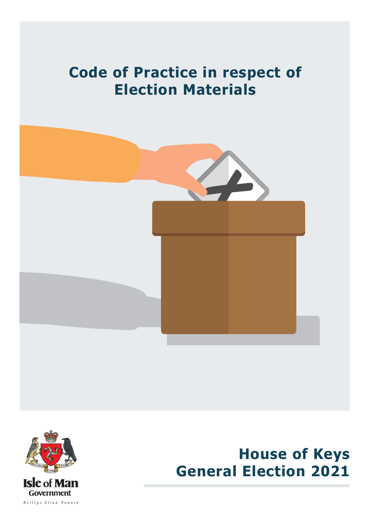# **Code of Practice in respect of Election Materials**





**House of Keys General Election 2021**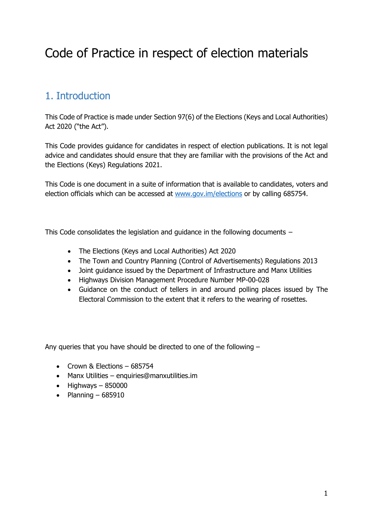# Code of Practice in respect of election materials

# 1. Introduction

This Code of Practice is made under Section 97(6) of the Elections (Keys and Local Authorities) Act 2020 ("the Act").

This Code provides guidance for candidates in respect of election publications. It is not legal advice and candidates should ensure that they are familiar with the provisions of the Act and the Elections (Keys) Regulations 2021.

This Code is one document in a suite of information that is available to candidates, voters and election officials which can be accessed at [www.gov.im/elections](http://www.gov.im/elections) or by calling 685754.

This Code consolidates the legislation and guidance in the following documents −

- The Elections (Keys and Local Authorities) Act 2020
- The Town and Country Planning (Control of Advertisements) Regulations 2013
- Joint guidance issued by the Department of Infrastructure and Manx Utilities
- Highways Division Management Procedure Number MP-00-028
- Guidance on the conduct of tellers in and around polling places issued by The Electoral Commission to the extent that it refers to the wearing of rosettes.

Any queries that you have should be directed to one of the following –

- Crown & Elections 685754
- Manx Utilities enquiries@manxutilities.im
- $\bullet$  Highways 850000
- Planning  $-685910$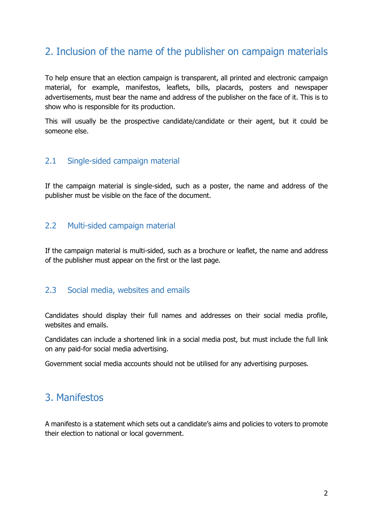# 2. Inclusion of the name of the publisher on campaign materials

To help ensure that an election campaign is transparent, all printed and electronic campaign material, for example, manifestos, leaflets, bills, placards, posters and newspaper advertisements, must bear the name and address of the publisher on the face of it. This is to show who is responsible for its production.

This will usually be the prospective candidate/candidate or their agent, but it could be someone else.

## 2.1 Single-sided campaign material

If the campaign material is single-sided, such as a poster, the name and address of the publisher must be visible on the face of the document.

## 2.2 Multi-sided campaign material

If the campaign material is multi-sided, such as a brochure or leaflet, the name and address of the publisher must appear on the first or the last page.

#### 2.3 Social media, websites and emails

Candidates should display their full names and addresses on their social media profile, websites and emails.

Candidates can include a shortened link in a social media post, but must include the full link on any paid-for social media advertising.

Government social media accounts should not be utilised for any advertising purposes.

## 3. Manifestos

A manifesto is a statement which sets out a candidate's aims and policies to voters to promote their election to national or local government.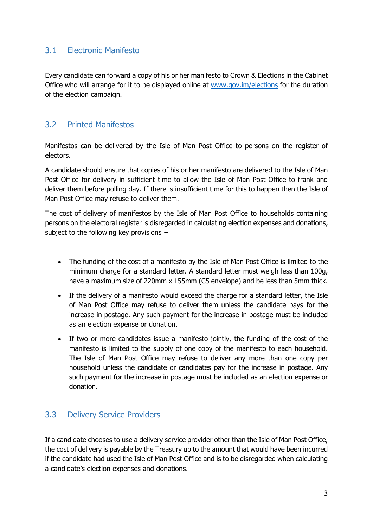## 3.1 Electronic Manifesto

Every candidate can forward a copy of his or her manifesto to Crown & Elections in the Cabinet Office who will arrange for it to be displayed online at [www.gov.im/elections](http://www.gov.im/elections) for the duration of the election campaign.

## 3.2 Printed Manifestos

Manifestos can be delivered by the Isle of Man Post Office to persons on the register of electors.

A candidate should ensure that copies of his or her manifesto are delivered to the Isle of Man Post Office for delivery in sufficient time to allow the Isle of Man Post Office to frank and deliver them before polling day. If there is insufficient time for this to happen then the Isle of Man Post Office may refuse to deliver them.

The cost of delivery of manifestos by the Isle of Man Post Office to households containing persons on the electoral register is disregarded in calculating election expenses and donations, subject to the following key provisions −

- The funding of the cost of a manifesto by the Isle of Man Post Office is limited to the minimum charge for a standard letter. A standard letter must weigh less than 100g, have a maximum size of 220mm x 155mm (C5 envelope) and be less than 5mm thick.
- If the delivery of a manifesto would exceed the charge for a standard letter, the Isle of Man Post Office may refuse to deliver them unless the candidate pays for the increase in postage. Any such payment for the increase in postage must be included as an election expense or donation.
- If two or more candidates issue a manifesto jointly, the funding of the cost of the manifesto is limited to the supply of one copy of the manifesto to each household. The Isle of Man Post Office may refuse to deliver any more than one copy per household unless the candidate or candidates pay for the increase in postage. Any such payment for the increase in postage must be included as an election expense or donation.

## 3.3 Delivery Service Providers

If a candidate chooses to use a delivery service provider other than the Isle of Man Post Office, the cost of delivery is payable by the Treasury up to the amount that would have been incurred if the candidate had used the Isle of Man Post Office and is to be disregarded when calculating a candidate's election expenses and donations.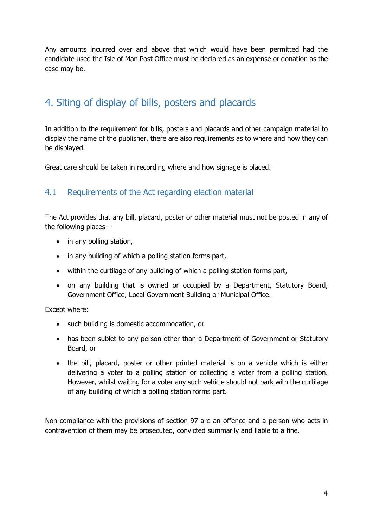Any amounts incurred over and above that which would have been permitted had the candidate used the Isle of Man Post Office must be declared as an expense or donation as the case may be.

# 4. Siting of display of bills, posters and placards

In addition to the requirement for bills, posters and placards and other campaign material to display the name of the publisher, there are also requirements as to where and how they can be displayed.

Great care should be taken in recording where and how signage is placed.

## 4.1 Requirements of the Act regarding election material

The Act provides that any bill, placard, poster or other material must not be posted in any of the following places −

- in any polling station,
- in any building of which a polling station forms part,
- within the curtilage of any building of which a polling station forms part,
- on any building that is owned or occupied by a Department, Statutory Board, Government Office, Local Government Building or Municipal Office.

Except where:

- such building is domestic accommodation, or
- has been sublet to any person other than a Department of Government or Statutory Board, or
- the bill, placard, poster or other printed material is on a vehicle which is either delivering a voter to a polling station or collecting a voter from a polling station. However, whilst waiting for a voter any such vehicle should not park with the curtilage of any building of which a polling station forms part.

Non-compliance with the provisions of section 97 are an offence and a person who acts in contravention of them may be prosecuted, convicted summarily and liable to a fine.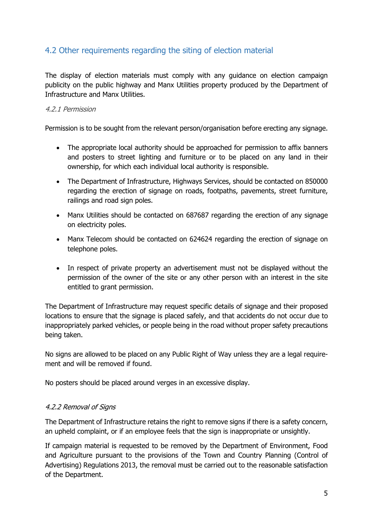## 4.2 Other requirements regarding the siting of election material

The display of election materials must comply with any guidance on election campaign publicity on the public highway and Manx Utilities property produced by the Department of Infrastructure and Manx Utilities.

#### 4.2.1 Permission

Permission is to be sought from the relevant person/organisation before erecting any signage.

- The appropriate local authority should be approached for permission to affix banners and posters to street lighting and furniture or to be placed on any land in their ownership, for which each individual local authority is responsible.
- The Department of Infrastructure, Highways Services, should be contacted on 850000 regarding the erection of signage on roads, footpaths, pavements, street furniture, railings and road sign poles.
- Manx Utilities should be contacted on 687687 regarding the erection of any signage on electricity poles.
- Manx Telecom should be contacted on 624624 regarding the erection of signage on telephone poles.
- In respect of private property an advertisement must not be displayed without the permission of the owner of the site or any other person with an interest in the site entitled to grant permission.

The Department of Infrastructure may request specific details of signage and their proposed locations to ensure that the signage is placed safely, and that accidents do not occur due to inappropriately parked vehicles, or people being in the road without proper safety precautions being taken.

No signs are allowed to be placed on any Public Right of Way unless they are a legal requirement and will be removed if found.

No posters should be placed around verges in an excessive display.

#### 4.2.2 Removal of Signs

The Department of Infrastructure retains the right to remove signs if there is a safety concern, an upheld complaint, or if an employee feels that the sign is inappropriate or unsightly.

If campaign material is requested to be removed by the Department of Environment, Food and Agriculture pursuant to the provisions of the Town and Country Planning (Control of Advertising) Regulations 2013, the removal must be carried out to the reasonable satisfaction of the Department.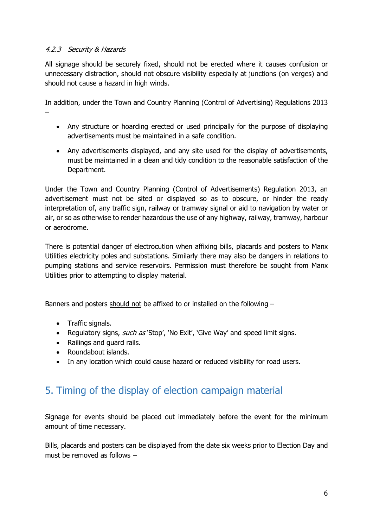#### 4.2.3 Security & Hazards

All signage should be securely fixed, should not be erected where it causes confusion or unnecessary distraction, should not obscure visibility especially at junctions (on verges) and should not cause a hazard in high winds.

In addition, under the Town and Country Planning (Control of Advertising) Regulations 2013 –

- Any structure or hoarding erected or used principally for the purpose of displaying advertisements must be maintained in a safe condition.
- Any advertisements displayed, and any site used for the display of advertisements, must be maintained in a clean and tidy condition to the reasonable satisfaction of the Department.

Under the Town and Country Planning (Control of Advertisements) Regulation 2013, an advertisement must not be sited or displayed so as to obscure, or hinder the ready interpretation of, any traffic sign, railway or tramway signal or aid to navigation by water or air, or so as otherwise to render hazardous the use of any highway, railway, tramway, harbour or aerodrome.

There is potential danger of electrocution when affixing bills, placards and posters to Manx Utilities electricity poles and substations. Similarly there may also be dangers in relations to pumping stations and service reservoirs. Permission must therefore be sought from Manx Utilities prior to attempting to display material.

Banners and posters should not be affixed to or installed on the following –

- Traffic signals.
- Regulatory signs, *such as* 'Stop', 'No Exit', 'Give Way' and speed limit signs.
- Railings and guard rails.
- Roundabout islands.
- In any location which could cause hazard or reduced visibility for road users.

# 5. Timing of the display of election campaign material

Signage for events should be placed out immediately before the event for the minimum amount of time necessary.

Bills, placards and posters can be displayed from the date six weeks prior to Election Day and must be removed as follows −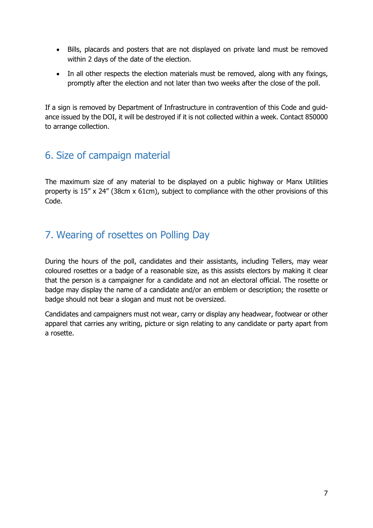- Bills, placards and posters that are not displayed on private land must be removed within 2 days of the date of the election.
- In all other respects the election materials must be removed, along with any fixings, promptly after the election and not later than two weeks after the close of the poll.

If a sign is removed by Department of Infrastructure in contravention of this Code and guidance issued by the DOI, it will be destroyed if it is not collected within a week. Contact 850000 to arrange collection.

## 6. Size of campaign material

The maximum size of any material to be displayed on a public highway or Manx Utilities property is 15" x 24" (38cm x 61cm), subject to compliance with the other provisions of this Code.

# 7. Wearing of rosettes on Polling Day

During the hours of the poll, candidates and their assistants, including Tellers, may wear coloured rosettes or a badge of a reasonable size, as this assists electors by making it clear that the person is a campaigner for a candidate and not an electoral official. The rosette or badge may display the name of a candidate and/or an emblem or description; the rosette or badge should not bear a slogan and must not be oversized.

Candidates and campaigners must not wear, carry or display any headwear, footwear or other apparel that carries any writing, picture or sign relating to any candidate or party apart from a rosette.